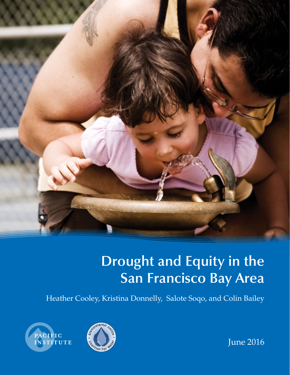

# **Drought and Equity in the San Francisco Bay Area**

Heather Cooley, Kristina Donnelly, Salote Soqo, and Colin Bailey





June 2016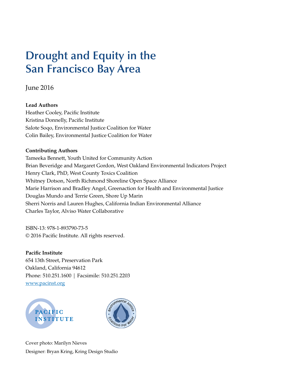## **Drought and Equity in the San Francisco Bay Area**

June 2016

## **Lead Authors**

Heather Cooley, Pacific Institute Kristina Donnelly, Pacific Institute Salote Soqo, Environmental Justice Coalition for Water Colin Bailey, Environmental Justice Coalition for Water

## **Contributing Authors**

Tameeka Bennett, Youth United for Community Action Brian Beveridge and Margaret Gordon, West Oakland Environmental Indicators Project Henry Clark, PhD, West County Toxics Coalition Whitney Dotson, North Richmond Shoreline Open Space Alliance Marie Harrison and Bradley Angel, Greenaction for Health and Environmental Justice Douglas Mundo and Terrie Green, Shore Up Marin Sherri Norris and Lauren Hughes, California Indian Environmental Alliance Charles Taylor, Alviso Water Collaborative

ISBN-13: 978-1-893790-73-5 © 2016 Pacific Institute. All rights reserved.

**Pacific Institute**  654 13th Street, Preservation Park Oakland, California 94612 Phone: 510.251.1600 | Facsimile: 510.251.2203 www.pacinst.org





Cover photo: Marilyn Nieves Designer: Bryan Kring, Kring Design Studio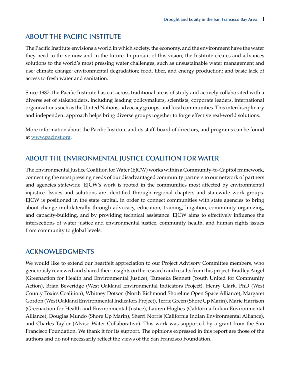## <span id="page-2-0"></span>**ABOUT THE PACIFIC INSTITUTE**

The Pacific Institute envisions a world in which society, the economy, and the environment have the water they need to thrive now and in the future. In pursuit of this vision, the Institute creates and advances solutions to the world's most pressing water challenges, such as unsustainable water management and use; climate change; environmental degradation; food, fiber, and energy production; and basic lack of access to fresh water and sanitation.

Since 1987, the Pacific Institute has cut across traditional areas of study and actively collaborated with a diverse set of stakeholders, including leading policymakers, scientists, corporate leaders, international organizations such as the United Nations, advocacy groups, and local communities. This interdisciplinary and independent approach helps bring diverse groups together to forge effective real-world solutions.

More information about the Pacific Institute and its staff, board of directors, and programs can be found at www.pacinst.org.

## **ABOUT THE ENVIRONMENTAL JUSTICE COALITION FOR WATER**

The Environmental Justice Coalition for Water (EJCW) works within a Community-to-Capitol framework, connecting the most pressing needs of our disadvantaged community partners to our network of partners and agencies statewide. EJCW's work is rooted in the communities most affected by environmental injustice. Issues and solutions are identified through regional chapters and statewide work groups. EJCW is positioned in the state capital, in order to connect communities with state agencies to bring about change multilaterally through advocacy, education, training, litigation, community organizing, and capacity-building, and by providing technical assistance. EJCW aims to effectively influence the intersections of water justice and environmental justice, community health, and human rights issues from community to global levels.

## **ACKNOWLEDGMENTS**

We would like to extend our heartfelt appreciation to our Project Advisory Committee members, who generously reviewed and shared their insights on the research and results from this project: Bradley Angel (Greenaction for Health and Environmental Justice), Tameeka Bennett (Youth United for Community Action), Brian Beveridge (West Oakland Environmental Indicators Project), Henry Clark, PhD (West County Toxics Coalition), Whitney Dotson (North Richmond Shoreline Open Space Alliance), Margaret Gordon (West Oakland Environmental Indicators Project), Terrie Green (Shore Up Marin), Marie Harrison (Greenaction for Health and Environmental Justice), Lauren Hughes (California Indian Environmental Alliance), Douglas Mundo (Shore Up Marin), Sherri Norris (California Indian Environmental Alliance), and Charles Taylor (Alviso Water Collaborative). This work was supported by a grant from the San Francisco Foundation. We thank it for its support. The opinions expressed in this report are those of the authors and do not necessarily reflect the views of the San Francisco Foundation.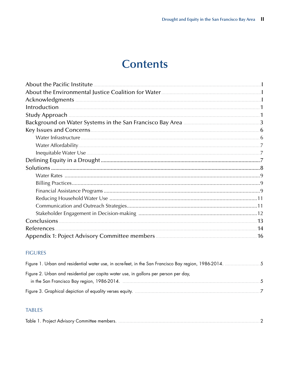## **Contents**

| About the Pacific Institute |  |
|-----------------------------|--|
|                             |  |
|                             |  |
| Introduction.               |  |
|                             |  |
|                             |  |
|                             |  |
|                             |  |
|                             |  |
|                             |  |
|                             |  |
|                             |  |
|                             |  |
|                             |  |
|                             |  |
|                             |  |
|                             |  |
|                             |  |
|                             |  |
| References.                 |  |
|                             |  |

### **FIGURES**

| Figure 2. Urban and residential per capita water use, in gallons per person per day, |  |
|--------------------------------------------------------------------------------------|--|
| $-5$                                                                                 |  |
|                                                                                      |  |

### **TABLES**

|--|--|--|--|--|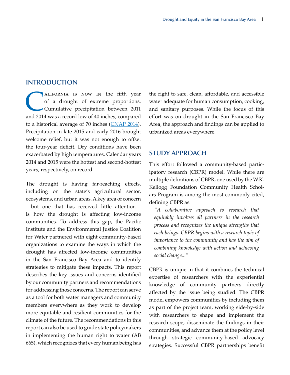#### <span id="page-4-0"></span>**INTRODUCTION**

ALIFORNIA IS NOW IN the fifth year<br>of a drought of extreme proportions.<br>Cumulative precipitation between 2011<br>and 2014 was a record low of 40 inches compared of a drought of extreme proportions. Cumulative precipitation between 2011 and 2014 was a record low of 40 inches, compared to a historical average of 70 inches ([CNAP 2014](#page-17-1)). Precipitation in late 2015 and early 2016 brought welcome relief, but it was not enough to offset the four-year deficit. Dry conditions have been exacerbated by high temperatures. Calendar years 2014 and 2015 were the hottest and second-hottest years, respectively, on record.

The drought is having far-reaching effects, including on the state's agricultural sector, ecosystems, and urban areas. A key area of concern —but one that has received little attention is how the drought is affecting low-income communities. To address this gap, the Pacific Institute and the Environmental Justice Coalition for Water partnered with eight community-based organizations to examine the ways in which the drought has affected low-income communities in the San Francisco Bay Area and to identify strategies to mitigate these impacts. This report describes the key issues and concerns identified by our community partners and recommendations for addressing those concerns. The report can serve as a tool for both water managers and community members everywhere as they work to develop more equitable and resilient communities for the climate of the future. The recommendations in this report can also be used to guide state policymakers in implementing the human right to water (AB 665), which recognizes that every human being has

the right to safe, clean, affordable, and accessible water adequate for human consumption, cooking, and sanitary purposes. While the focus of this effort was on drought in the San Francisco Bay Area, the approach and findings can be applied to urbanized areas everywhere.

#### **STUDY APPROACH**

This effort followed a community-based participatory research (CBPR) model. While there are multiple definitions of CBPR, one used by the W.K. Kellogg Foundation Community Health Scholars Program is among the most commonly cited, defining CBPR as:

*"A collaborative approach to research that equitably involves all partners in the research process and recognizes the unique strengths that each brings. CBPR begins with a research topic of importance to the community and has the aim of combining knowledge with action and achieving social change..."*

CBPR is unique in that it combines the technical expertise of researchers with the experiential knowledge of community partners directly affected by the issue being studied. The CBPR model empowers communities by including them as part of the project team, working side-by-side with researchers to shape and implement the research scope, disseminate the findings in their communities, and advance them at the policy level through strategic community-based advocacy strategies. Successful CBPR partnerships benefit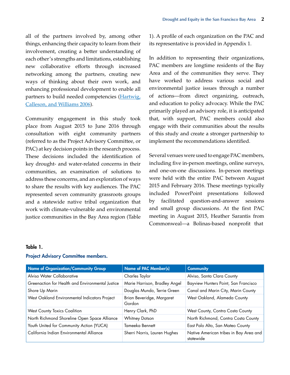<span id="page-5-0"></span>all of the partners involved by, among other things, enhancing their capacity to learn from their involvement, creating a better understanding of each other's strengths and limitations, establishing new collaborative efforts through increased networking among the partners, creating new ways of thinking about their own work, and enhancing professional development to enable all partners to build needed competencies [\(Hartwig,](#page-17-2) [Calleson, and Williams 2006\)](#page-17-2).

Community engagement in this study took place from August 2015 to June 2016 through consultation with eight community partners (referred to as the Project Advisory Committee, or PAC) at key decision points in the research process. These decisions included the identification of key drought- and water-related concerns in their communities, an examination of solutions to address these concerns, and an exploration of ways to share the results with key audiences. The PAC represented seven community grassroots groups and a statewide native tribal organization that work with climate-vulnerable and environmental justice communities in the Bay Area region (Table 1). A profile of each organization on the PAC and its representative is provided in Appendix 1.

In addition to representing their organizations, PAC members are longtime residents of the Bay Area and of the communities they serve. They have worked to address various social and environmental justice issues through a number of actions—from direct organizing, outreach, and education to policy advocacy. While the PAC primarily played an advisory role, it is anticipated that, with support, PAC members could also engage with their communities about the results of this study and create a stronger partnership to implement the recommendations identified.

Several venues were used to engage PAC members, including five in-person meetings, online surveys, and one-on-one discussions. In-person meetings were held with the entire PAC between August 2015 and February 2016. These meetings typically included PowerPoint presentations followed by facilitated question-and-answer sessions and small group discussions. At the first PAC meeting in August 2015, Heather Sarantis from Commonweal—a Bolinas-based nonprofit that

#### Table 1.

| <b>Name of Organization/Community Group</b>      | <b>Name of PAC Member(s)</b>        | <b>Community</b>                                    |
|--------------------------------------------------|-------------------------------------|-----------------------------------------------------|
| Alviso Water Collaborative                       | Charles Taylor                      | Alviso, Santa Clara County                          |
| Greenaction for Health and Environmental Justice | Marie Harrison, Bradley Angel       | Bayview Hunters Point, San Francisco                |
| Shore Up Marin                                   | Douglas Mundo, Terrie Green         | Canal and Marin City, Marin County                  |
| West Oakland Environmental Indicators Project    | Brian Beveridge, Margaret<br>Gordon | West Oakland, Alameda County                        |
| <b>West County Toxics Coalition</b>              | Henry Clark, PhD                    | West County, Contra Costa County                    |
| North Richmond Shoreline Open Space Alliance     | <b>Whitney Dotson</b>               | North Richmond, Contra Costa County                 |
| Youth United for Community Action (YUCA)         | Tameeka Bennett                     | East Palo Alto, San Mateo County                    |
| California Indian Environmental Alliance         | Sherri Norris, Lauren Hughes        | Native American tribes in Bay Area and<br>statewide |

#### Project Advisory Committee members.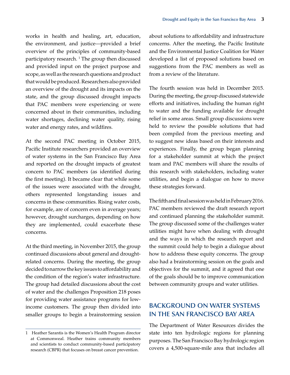<span id="page-6-0"></span>works in health and healing, art, education, the environment, and justice—provided a brief overview of the principles of community-based participatory research. <sup>1</sup> The group then discussed and provided input on the project purpose and scope, as well as the research questions and product that would be produced. Researchers also provided an overview of the drought and its impacts on the state, and the group discussed drought impacts that PAC members were experiencing or were concerned about in their communities, including water shortages, declining water quality, rising water and energy rates, and wildfires.

At the second PAC meeting in October 2015, Pacific Institute researchers provided an overview of water systems in the San Francisco Bay Area and reported on the drought impacts of greatest concern to PAC members (as identified during the first meeting). It became clear that while some of the issues were associated with the drought, others represented longstanding issues and concerns in these communities. Rising water costs, for example, are of concern even in average years; however, drought surcharges, depending on how they are implemented, could exacerbate these concerns.

At the third meeting, in November 2015, the group continued discussions about general and droughtrelated concerns. During the meeting, the group decided to narrow the key issues to affordability and the condition of the region's water infrastructure. The group had detailed discussions about the cost of water and the challenges Proposition 218 poses for providing water assistance programs for lowincome customers. The group then divided into smaller groups to begin a brainstorming session

about solutions to affordability and infrastructure concerns. After the meeting, the Pacific Institute and the Environmental Justice Coalition for Water developed a list of proposed solutions based on suggestions from the PAC members as well as from a review of the literature.

The fourth session was held in December 2015. During the meeting, the group discussed statewide efforts and initiatives, including the human right to water and the funding available for drought relief in some areas. Small group discussions were held to review the possible solutions that had been compiled from the previous meeting and to suggest new ideas based on their interests and experiences. Finally, the group began planning for a stakeholder summit at which the project team and PAC members will share the results of this research with stakeholders, including water utilities, and begin a dialogue on how to move these strategies forward.

The fifth and final session was held in February 2016. PAC members reviewed the draft research report and continued planning the stakeholder summit. The group discussed some of the challenges water utilities might have when dealing with drought and the ways in which the research report and the summit could help to begin a dialogue about how to address these equity concerns. The group also had a brainstorming session on the goals and objectives for the summit, and it agreed that one of the goals should be to improve communication between community groups and water utilities.

## **BACKGROUND ON WATER SYSTEMS IN THE SAN FRANCISCO BAY AREA**

The Department of Water Resources divides the state into ten hydrologic regions for planning purposes. The San Francisco Bay hydrologic region covers a 4,500-square-mile area that includes all

<sup>1</sup> Heather Sarantis is the Women's Health Program director at Commonweal. Heather trains community members and scientists to conduct community-based participatory research (CBPR) that focuses on breast cancer prevention.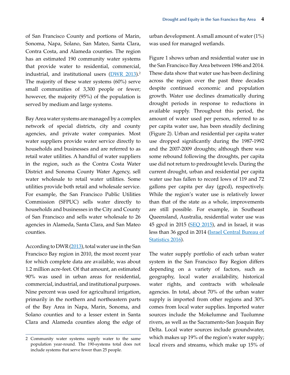of San Francisco County and portions of Marin, Sonoma, Napa, Solano, San Mateo, Santa Clara, Contra Costa, and Alameda counties. The region has an estimated 190 community water systems that provide water to residential, commercial, industrial, and institutional users [\(DWR 2013](#page-17-3)).<sup>2</sup> The majority of these water systems (60%) serve small communities of 3,300 people or fewer; however, the majority (95%) of the population is served by medium and large systems.

Bay Area water systems are managed by a complex network of special districts, city and county agencies, and private water companies. Most water suppliers provide water service directly to households and businesses and are referred to as retail water utilities. A handful of water suppliers in the region, such as the Contra Costa Water District and Sonoma County Water Agency, sell water wholesale to retail water utilities. Some utilities provide both retail and wholesale service. For example, the San Francisco Public Utilities Commission (SFPUC) sells water directly to households and businesses in the City and County of San Francisco and sells water wholesale to 26 agencies in Alameda, Santa Clara, and San Mateo counties.

According to DWR ([2013\)](#page-17-3), total water use in the San Francisco Bay region in 2010, the most recent year for which complete data are available, was about 1.2 million acre-feet. Of that amount, an estimated 90% was used in urban areas for residential, commercial, industrial, and institutional purposes. Nine percent was used for agricultural irrigation, primarily in the northern and northeastern parts of the Bay Area in Napa, Marin, Sonoma, and Solano counties and to a lesser extent in Santa Clara and Alameda counties along the edge of

urban development. A small amount of water (1%) was used for managed wetlands.

Figure 1 shows urban and residential water use in the San Francisco Bay Area between 1986 and 2014. These data show that water use has been declining across the region over the past three decades despite continued economic and population growth. Water use declines dramatically during drought periods in response to reductions in available supply. Throughout this period, the amount of water used per person, referred to as per capita water use, has been steadily declining (Figure 2). Urban and residential per capita water use dropped significantly during the 1987-1992 and the 2007-2009 droughts; although there was some rebound following the droughts, per capita use did not return to predrought levels. During the current drought, urban and residential per capita water use has fallen to record lows of 119 and 72 gallons per capita per day (gpcd), respectively. While the region's water use is relatively lower than that of the state as a whole, improvements are still possible. For example, in Southeast Queensland, Australia, residential water use was 45 gpcd in 2015 [\(SEQ 2015](#page-18-0)), and in Israel, it was less than 36 gpcd in 2014 [\(Israel Central Bureau of](#page-18-1)  [Statistics 2016](#page-18-1)).

The water supply portfolio of each urban water system in the San Francisco Bay Region differs depending on a variety of factors, such as geography, local water availability, historical water rights, and contracts with wholesale agencies. In total, about 70% of the urban water supply is imported from other regions and 30% comes from local water supplies. Imported water sources include the Mokelumne and Tuolumne rivers, as well as the Sacramento-San Joaquin Bay Delta. Local water sources include groundwater, which makes up 19% of the region's water supply; local rivers and streams, which make up 15% of

<sup>2</sup> Community water systems supply water to the same population year-round. The 190-systems total does not include systems that serve fewer than 25 people.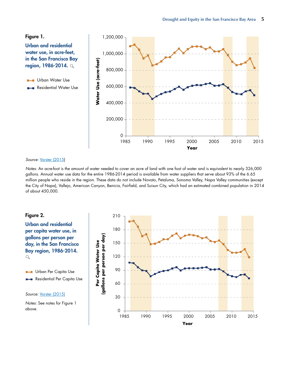#### <span id="page-8-0"></span>Figure 1.

Urban and residential water use, in acre-feet, in the San Francisco Bay region, 1986-2014. \

Urban Water Use **The Co** 

Residential Water Use **College** 



#### Source: [Vorster \(2015](#page-18-2))

*Notes:* An acre-foot is the amount of water needed to cover an acre of land with one foot of water and is equivalent to nearly 326,000 gallons. Annual water use data for the entire 1986-2014 period is available from water suppliers that serve about 93% of the 6.65 million people who reside in the region. These data do not include Novato, Petaluma, Sonoma Valley, Napa Valley communities (except the City of Napa), Vallejo, American Canyon, Benicia, Fairfield, and Suisun City, which had an estimated combined population in 2014 of about 450,000.

#### Figure 2.

Urban and residential per capita water use, in gallons per person per day, in the San Francisco Bay region, 1986-2014.  $\alpha$ 

Urban Per Capita Use  $\mathbf{H}$ Residential Per Capita Use

#### Source: [Vorster \(2015\)](#page-18-2)

*Notes:* See notes for Figure 1 above.

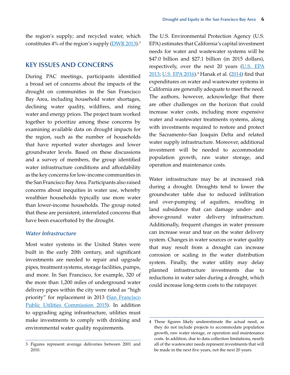<span id="page-9-0"></span>the region's supply; and recycled water, which constitutes  $4\%$  of the region's supply ( $\overline{\text{DWR}}$  2013).<sup>3</sup>

## **KEY ISSUES AND CONCERNS**

During PAC meetings, participants identified a broad set of concerns about the impacts of the drought on communities in the San Francisco Bay Area, including household water shortages, declining water quality, wildfires, and rising water and energy prices. The project team worked together to prioritize among these concerns by examining available data on drought impacts for the region, such as the number of households that have reported water shortages and lower groundwater levels. Based on these discussions and a survey of members, the group identified water infrastructure conditions and affordability as the key concerns for low-income communities in the San Francisco Bay Area. Participants also raised concerns about inequities in water use, whereby wealthier households typically use more water than lower-income households. The group noted that these are persistent, interrelated concerns that have been exacerbated by the drought.

#### *Water Infrastructure*

Most water systems in the United States were built in the early 20th century, and significant investments are needed to repair and upgrade pipes, treatment systems, storage facilities, pumps, and more. In San Francisco, for example, 320 of the more than 1,200 miles of underground water delivery pipes within the city were rated as "high priority" for replacement in 2013 (San Francisco [Public Utilities Commission 2015](#page-18-5)). In addition to upgrading aging infrastructure, utilities must make investments to comply with drinking and environmental water quality requirements.

The U.S. Environmental Protection Agency (U.S. EPA) estimates that California's capital investment needs for water and wastewater systems will be \$47.0 billion and \$27.1 billion (in 2015 dollars), respectively, over the next 20 years ([U.S. EPA](#page-18-3) [2013](#page-18-3); [U.S. EPA 2016](#page-18-4)).<sup>4</sup> Hanak et al. ([2014\)](#page-17-4) find that expenditures on water and wastewater systems in California are generally adequate to meet the need. The authors, however, acknowledge that there are other challenges on the horizon that could increase water costs, including more expensive water and wastewater treatments systems, along with investments required to restore and protect the Sacramento–San Joaquin Delta and related water supply infrastructure. Moreover, additional investment will be needed to accommodate population growth, raw water storage, and operation and maintenance costs.

Water infrastructure may be at increased risk during a drought. Droughts tend to lower the groundwater table due to reduced infiltration and over-pumping of aquifers, resulting in land subsidence that can damage under- and above-ground water delivery infrastructure. Additionally, frequent changes in water pressure can increase wear and tear on the water delivery system. Changes in water sources or water quality that may result from a drought can increase corrosion or scaling in the water distribution system. Finally, the water utility may delay planned infrastructure investments due to reductions in water sales during a drought, which could increase long-term costs to the ratepayer.

<sup>3</sup> Figures represent average deliveries between 2001 and 2010.

<sup>4</sup> These figures likely underestimate the actual need, as they do not include projects to accommodate population growth, raw water storage, or operation and maintenance costs. In addition, due to data collection limitations, nearly all of the wastewater needs represent investments that will be made in the next five years, not the next 20 years.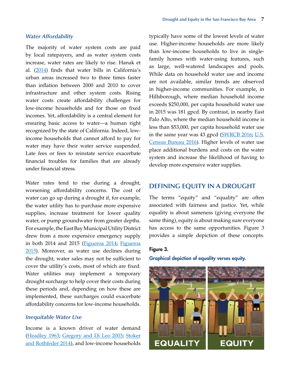#### <span id="page-10-0"></span>*Water Affordability*

The majority of water system costs are paid by local ratepayers, and as water system costs increase, water rates are likely to rise. Hanak et al. [\(2014](#page-17-4)) finds that water bills in California's urban areas increased two to three times faster than inflation between 2000 and 2010 to cover infrastructure and other system costs. Rising water costs create affordability challenges for low-income households and for those on fixed incomes. Yet, affordability is a central element for ensuring basic access to water—a human right recognized by the state of California. Indeed, lowincome households that cannot afford to pay for water may have their water service suspended. Late fees or fees to reinstate service exacerbate financial troubles for families that are already under financial stress.

Water rates tend to rise during a drought, worsening affordability concerns. The cost of water can go up during a drought if, for example, the water utility has to purchase more expensive supplies, increase treatment for lower quality water, or pump groundwater from greater depths. For example, the East Bay Municipal Utility District drew from a more expensive emergency supply in both 2014 and 2015 [\(Figueroa 2014](#page-17-5); [Figueroa](#page-17-6) [2015](#page-17-6)). Moreover, as water use declines during the drought, water sales may not be sufficient to cover the utility's costs, most of which are fixed. Water utilities may implement a temporary drought surcharge to help cover their costs during these periods and, depending on how these are implemented, these surcharges could exacerbate affordability concerns for low-income households.

#### *Inequitable Water Use*

Income is a known driver of water demand ([Headley 1963](#page-18-8); [Gregory and Di Leo 2003](#page-17-7); [Stoker](#page-18-9) [and Rothfeder 2014](#page-18-9)), and low-income households

typically have some of the lowest levels of water use. Higher-income households are more likely than low-income households to live in singlefamily homes with water-using features, such as large, well-watered landscapes and pools. While data on household water use and income are not available, similar trends are observed in higher-income communities. For example, in Hillsborough, where median household income exceeds \$250,000, per capita household water use in 2015 was 181 gpcd. By contrast, in nearby East Palo Alto, where the median household income is less than \$53,000, per capita household water use in the same year was 43 gpcd [\(SWRCB 2016](#page-18-6); [U.S.](#page-18-7) [Census Bureau 2016](#page-18-7)). Higher levels of water use place additional burdens and costs on the water system and increase the likelihood of having to develop more expensive water supplies.

#### **DEFINING EQUITY IN A DROUGHT**

The terms "equity" and "equality" are often associated with fairness and justice. Yet, while equality is about sameness (giving everyone the same thing), equity is about making sure everyone has access to the same opportunities. Figure 3 provides a simple depiction of these concepts.

## Figure 3. Graphical depiction of equality verses equity.

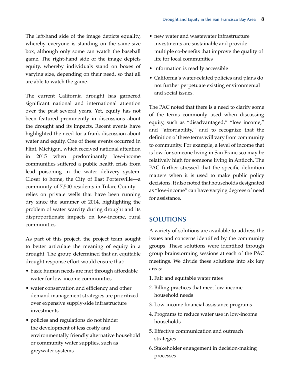<span id="page-11-0"></span>The left-hand side of the image depicts equality, whereby everyone is standing on the same-size box, although only some can watch the baseball game. The right-hand side of the image depicts equity, whereby individuals stand on boxes of varying size, depending on their need, so that all are able to watch the game.

The current California drought has garnered significant national and international attention over the past several years. Yet, equity has not been featured prominently in discussions about the drought and its impacts. Recent events have highlighted the need for a frank discussion about water and equity. One of these events occurred in Flint, Michigan, which received national attention in 2015 when predominantly low-income communities suffered a public health crisis from lead poisoning in the water delivery system. Closer to home, the City of East Portersville—a community of 7,500 residents in Tulare County relies on private wells that have been running dry since the summer of 2014, highlighting the problem of water scarcity during drought and its disproportionate impacts on low-income, rural communities.

As part of this project, the project team sought to better articulate the meaning of equity in a drought. The group determined that an equitable drought response effort would ensure that:

- basic human needs are met through affordable water for low-income communities
- water conservation and efficiency and other demand management strategies are prioritized over expensive supply-side infrastructure investments
- policies and regulations do not hinder the development of less costly and environmentally friendly alternative household or community water supplies, such as greywater systems
- new water and wastewater infrastructure investments are sustainable and provide multiple co-benefits that improve the quality of life for local communities
- information is readily accessible
- • California's water-related policies and plans do not further perpetuate existing environmental and social issues.

The PAC noted that there is a need to clarify some of the terms commonly used when discussing equity, such as "disadvantaged," "low income," and "affordability," and to recognize that the definition of these terms will vary from community to community. For example, a level of income that is low for someone living in San Francisco may be relatively high for someone living in Antioch. The PAC further stressed that the specific definition matters when it is used to make public policy decisions. It also noted that households designated as "low-income" can have varying degrees of need for assistance.

## **SOLUTIONS**

A variety of solutions are available to address the issues and concerns identified by the community groups. These solutions were identified through group brainstorming sessions at each of the PAC meetings. We divide these solutions into six key areas:

- 1. Fair and equitable water rates
- 2. Billing practices that meet low-income household needs
- 3. Low-income financial assistance programs
- 4. Programs to reduce water use in low-income households
- 5. Effective communication and outreach strategies
- 6. Stakeholder engagement in decision-making processes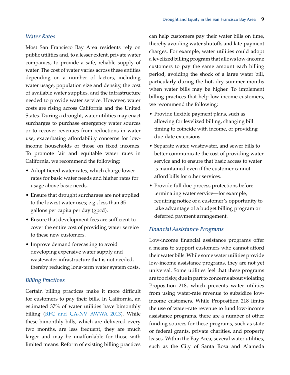#### <span id="page-12-0"></span>*Water Rates*

Most San Francisco Bay Area residents rely on public utilities and, to a lesser extent, private water companies, to provide a safe, reliable supply of water. The cost of water varies across these entities depending on a number of factors, including water usage, population size and density, the cost of available water supplies, and the infrastructure needed to provide water service. However, water costs are rising across California and the United States. During a drought, water utilities may enact surcharges to purchase emergency water sources or to recover revenues from reductions in water use, exacerbating affordability concerns for lowincome households or those on fixed incomes. To promote fair and equitable water rates in California, we recommend the following:

- Adopt tiered water rates, which charge lower rates for basic water needs and higher rates for usage above basic needs.
- Ensure that drought surcharges are not applied to the lowest water uses; e.g., less than 35 gallons per capita per day (gpcd).
- Ensure that development fees are sufficient to cover the entire cost of providing water service to these new customers.
- Improve demand forecasting to avoid developing expensive water supply and wastewater infrastructure that is not needed, thereby reducing long-term water system costs.

#### *Billing Practices*

Certain billing practices make it more difficult for customers to pay their bills. In California, an estimated 37% of water utilities have bimonthly billing [\(RFC and CA-NV AWWA 2013](#page-18-10)). While these bimonthly bills, which are delivered every two months, are less frequent, they are much larger and may be unaffordable for those with limited means. Reform of existing billing practices

can help customers pay their water bills on time, thereby avoiding water shutoffs and late-payment charges. For example, water utilities could adopt a levelized billing program that allows low-income customers to pay the same amount each billing period, avoiding the shock of a large water bill, particularly during the hot, dry summer months when water bills may be higher. To implement billing practices that help low-income customers, we recommend the following:

- • Provide flexible payment plans, such as allowing for levelized billing, changing bill timing to coincide with income, or providing due-date extensions.
- Separate water, wastewater, and sewer bills to better communicate the cost of providing water service and to ensure that basic access to water is maintained even if the customer cannot afford bills for other services.
- Provide full due-process protections before terminating water service—for example, requiring notice of a customer's opportunity to take advantage of a budget billing program or deferred payment arrangement.

#### *Financial Assistance Programs*

Low-income financial assistance programs offer a means to support customers who cannot afford their water bills. While some water utilities provide low-income assistance programs, they are not yet universal. Some utilities feel that these programs are too risky, due in part to concerns about violating Proposition 218, which prevents water utilities from using water-rate revenue to subsidize lowincome customers. While Proposition 218 limits the use of water-rate revenue to fund low-income assistance programs, there are a number of other funding sources for these programs, such as state or federal grants, private charities, and property leases. Within the Bay Area, several water utilities, such as the City of Santa Rosa and Alameda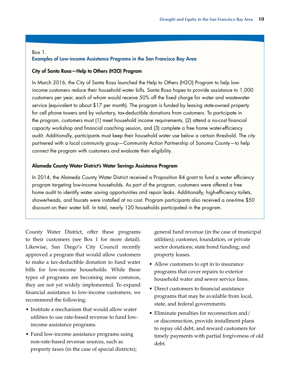#### Box 1. Examples of Low-income Assistance Programs in the San Francisco Bay Area

#### City of Santa Rosa—Help to Others (H2O) Program

In March 2016, the City of Santa Rosa launched the Help to Others (H2O) Program to help lowincome customers reduce their household water bills. Santa Rosa hopes to provide assistance to 1,000 customers per year, each of whom would receive 50% off the fixed charge for water and wastewater service (equivalent to about \$17 per month). The program is funded by leasing state-owned property for cell phone towers and by voluntary, tax-deductible donations from customers. To participate in the program, customers must (1) meet household income requirements, (2) attend a no-cost financial capacity workshop and financial coaching session, and (3) complete a free home water-efficiency audit. Additionally, participants must keep their household water use below a certain threshold. The city partnered with a local community group—Community Action Partnership of Sonoma County—to help connect the program with customers and evaluate their eligibility.

#### Alameda County Water District's Water Savings Assistance Program

In 2014, the Alameda County Water District received a Proposition 84 grant to fund a water efficiency program targeting low-income households. As part of the program, customers were offered a free home audit to identify water saving opportunities and repair leaks. Additionally, high-efficiency toilets, showerheads, and faucets were installed at no cost. Program participants also received a one-time \$50 discount on their water bill. In total, nearly 120 households participated in the program.

County Water District, offer these programs to their customers (see Box 1 for more detail). Likewise, San Diego's City Council recently approved a program that would allow customers to make a tax-deductible donation to fund water bills for low-income households. While these types of programs are becoming more common, they are not yet widely implemented. To expand financial assistance to low-income customers, we recommend the following:

- Institute a mechanism that would allow water utilities to use rate-based revenue to fund lowincome assistance programs.
- Fund low-income assistance programs using non-rate-based revenue sources, such as property taxes (in the case of special districts);

general fund revenue (in the case of municipal utilities); customer, foundation, or private sector donations; state bond funding; and property leases.

- Allow customers to opt in to insurance programs that cover repairs to exterior household water and sewer service lines.
- Direct customers to financial assistance programs that may be available from local, state, and federal governments.
- Eliminate penalties for reconnection and/ or disconnection, provide installment plans to repay old debt, and reward customers for timely payments with partial forgiveness of old debt.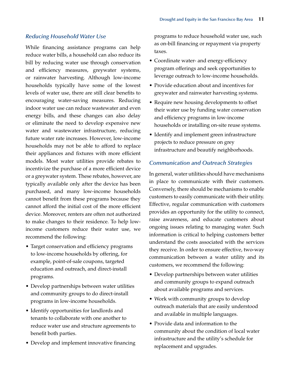#### <span id="page-14-0"></span>*Reducing Household Water Use*

While financing assistance programs can help reduce water bills, a household can also reduce its bill by reducing water use through conservation and efficiency measures, greywater systems, or rainwater harvesting. Although low-income households typically have some of the lowest levels of water use, there are still clear benefits to encouraging water-saving measures. Reducing indoor water use can reduce wastewater and even energy bills, and these changes can also delay or eliminate the need to develop expensive new water and wastewater infrastructure, reducing future water rate increases. However, low-income households may not be able to afford to replace their appliances and fixtures with more efficient models. Most water utilities provide rebates to incentivize the purchase of a more efficient device or a greywater system. These rebates, however, are typically available only after the device has been purchased, and many low-income households cannot benefit from these programs because they cannot afford the initial cost of the more efficient device. Moreover, renters are often not authorized to make changes to their residence. To help lowincome customers reduce their water use, we recommend the following:

- Target conservation and efficiency programs to low-income households by offering, for example, point-of-sale coupons, targeted education and outreach, and direct-install programs.
- • Develop partnerships between water utilities and community groups to do direct-install programs in low-income households.
- Identify opportunities for landlords and tenants to collaborate with one another to reduce water use and structure agreements to benefit both parties.
- Develop and implement innovative financing

programs to reduce household water use, such as on-bill financing or repayment via property taxes.

- Coordinate water- and energy-efficiency program offerings and seek opportunities to leverage outreach to low-income households.
- Provide education about and incentives for greywater and rainwater harvesting systems.
- Require new housing developments to offset their water use by funding water conservation and efficiency programs in low-income households or installing on-site reuse systems.
- Identify and implement green infrastructure projects to reduce pressure on grey infrastructure and beautify neighborhoods.

#### *Communication and Outreach Strategies*

In general, water utilities should have mechanisms in place to communicate with their customers. Conversely, there should be mechanisms to enable customers to easily communicate with their utility. Effective, regular communication with customers provides an opportunity for the utility to connect, raise awareness, and educate customers about ongoing issues relating to managing water. Such information is critical to helping customers better understand the costs associated with the services they receive. In order to ensure effective, two-way communication between a water utility and its customers, we recommend the following:

- Develop partnerships between water utilities and community groups to expand outreach about available programs and services.
- Work with community groups to develop outreach materials that are easily understood and available in multiple languages.
- Provide data and information to the community about the condition of local water infrastructure and the utility's schedule for replacement and upgrades.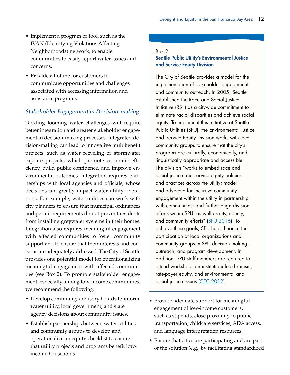- <span id="page-15-0"></span>• Implement a program or tool, such as the IVAN (Identifying Violations Affecting Neighborhoods) network, to enable communities to easily report water issues and concerns.
- Provide a hotline for customers to communicate opportunities and challenges associated with accessing information and assistance programs.

### *Stakeholder Engagement in Decision-making*

Tackling looming water challenges will require better integration and greater stakeholder engagement in decision-making processes. Integrated decision-making can lead to innovative multibenefit projects, such as water recycling or stormwater capture projects, which promote economic efficiency, build public confidence, and improve environmental outcomes. Integration requires partnerships with local agencies and officials, whose decisions can greatly impact water utility operations. For example, water utilities can work with city planners to ensure that municipal ordinances and permit requirements do not prevent residents from installing greywater systems in their homes. Integration also requires meaningful engagement with affected communities to foster community support and to ensure that their interests and concerns are adequately addressed. The City of Seattle provides one potential model for operationalizing meaningful engagement with affected communities (see Box 2). To promote stakeholder engagement, especially among low-income communities, we recommend the following:

- • Develop community advisory boards to inform water utility, local government, and state agency decisions about community issues.
- Establish partnerships between water utilities and community groups to develop and operationalize an equity checklist to ensure that utility projects and programs benefit lowincome households.

#### Box 2.

## Seattle Public Utility's Environmental Justice and Service Equity Division

The City of Seattle provides a model for the implementation of stakeholder engagement and community outreach. In 2005, Seattle established the Race and Social Justice Initiative (RSJI) as a citywide commitment to eliminate racial disparities and achieve racial equity. To implement this initiative at Seattle Public Utilities (SPU), the Environmental Justice and Service Equity Division works with local community groups to ensure that the city's programs are culturally, economically, and linguistically appropriate and accessible. The division "works to embed race and social justice and service equity policies and practices across the utility; model and advocate for inclusive community engagement within the utility in partnership with communities; and further align division efforts within SPU, as well as city, county, and community efforts" [\(SPU 2016\)](#page-18-5). To achieve these goals, SPU helps finance the participation of local organizations and community groups in SPU decision making, outreach, and program development. In addition, SPU staff members are required to attend workshops on institutionalized racism, rate-payer equity, and environmental and social justice issues [\(CEC 2012\)](#page-17-8).

- Provide adequate support for meaningful engagement of low-income customers, such as stipends, close proximity to public transportation, childcare services, ADA access, and language interpretation resources.
- • Ensure that cities are participating and are part of the solution (e.g., by facilitating standardized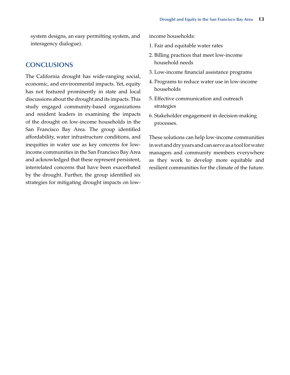<span id="page-16-0"></span>system designs, an easy permitting system, and interagency dialogue).

## **CONCLUSIONS**

The California drought has wide-ranging social, economic, and environmental impacts. Yet, equity has not featured prominently in state and local discussions about the drought and its impacts. This study engaged community-based organizations and resident leaders in examining the impacts of the drought on low-income households in the San Francisco Bay Area. The group identified affordability, water infrastructure conditions, and inequities in water use as key concerns for lowincome communities in the San Francisco Bay Area and acknowledged that these represent persistent, interrelated concerns that have been exacerbated by the drought. Further, the group identified six strategies for mitigating drought impacts on lowincome households:

- 1. Fair and equitable water rates
- 2. Billing practices that meet low-income household needs
- 3. Low-income financial assistance programs
- 4. Programs to reduce water use in low-income households
- 5. Effective communication and outreach strategies
- 6. Stakeholder engagement in decision-making processes.

These solutions can help low-income communities in wet and dry years and can serve as a tool for water managers and community members everywhere as they work to develop more equitable and resilient communities for the climate of the future.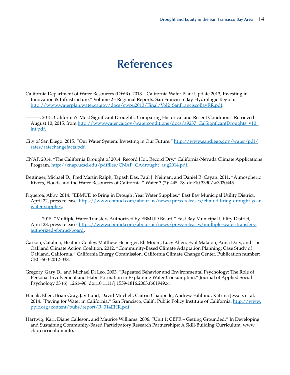## **References**

- <span id="page-17-3"></span><span id="page-17-0"></span>California Department of Water Resources (DWR). 2013. "California Water Plan: Update 2013, Investing in Innovation & Infrastructure." Volume 2 - Regional Reports. San Francisco Bay Hydrologic Region. [http://www.waterplan.water.ca.gov/docs/cwpu2013/Final/Vol2\\_SanFranciscoBayRR.pdf](http://www.waterplan.water.ca.gov/docs/cwpu2013/Final/Vol2_SanFranciscoBayRR.pdf).
- ———. 2015. California's Most Significant Droughts: Comparing Historical and Recent Conditions. Retrieved August 10, 2015, from [http://www.water.ca.gov/waterconditions/docs/a9237\\_CalSignficantDroughts\\_v10\\_](http://www.water.ca.gov/waterconditions/docs/a9237_CalSignficantDroughts_v10_int.pdf) [int.pdf.](http://www.water.ca.gov/waterconditions/docs/a9237_CalSignficantDroughts_v10_int.pdf)
- City of San Diego. 2015. "Our Water System: Investing in Our Future." [http://www.sandiego.gov/water/pdf/](http://www.sandiego.gov/water/pdf/rates/ratechangefacts.pdf) [rates/ratechangefacts.pdf](http://www.sandiego.gov/water/pdf/rates/ratechangefacts.pdf).
- <span id="page-17-1"></span>CNAP. 2014. "The California Drought of 2014: Record Hot, Record Dry." California-Nevada Climate Applications Program. [http://cnap.ucsd.edu/pdffiles/CNAP\\_CAdrought\\_aug2014.pdf](http://cnap.ucsd.edu/pdffiles/CNAP_CAdrought_aug2014.pdf).
- Dettinger, Michael D., Fred Martin Ralph, Tapash Das, Paul J. Neiman, and Daniel R. Cayan. 2011. "Atmospheric Rivers, Floods and the Water Resources of California." Water 3 (2): 445–78. doi:10.3390/w3020445.
- <span id="page-17-6"></span><span id="page-17-5"></span>Figueroa, Abby. 2014. "EBMUD to Bring in Drought Year Water Supplies." East Bay Municipal Utility District, April 22, press release. [https://www.ebmud.com/about-us/news/press-releases/ebmud-bring-drought-year](https://www.ebmud.com/about-us/news/press-releases/ebmud-bring-drought-year-water-supplies)[water-supplies](https://www.ebmud.com/about-us/news/press-releases/ebmud-bring-drought-year-water-supplies).
	- -. 2015. "Multiple Water Transfers Authorized by EBMUD Board." East Bay Municipal Utility District, April 28, press release. [https://www.ebmud.com/about-us/news/press-releases/multiple-water-transfers](https://www.ebmud.com/about-us/news/press-releases/multiple-water-transfers-authorized-ebmud-board)[authorized-ebmud-board.](https://www.ebmud.com/about-us/news/press-releases/multiple-water-transfers-authorized-ebmud-board)
- <span id="page-17-8"></span>Garzon, Catalina, Heather Cooley, Matthew Heberger, Eli Moore, Lucy Allen, Eyal Matalon, Anna Doty, and The Oakland Climate Action Coalition. 2012. "Community-Based Climate Adaptation Planning: Case Study of Oakland, California." California Energy Commission, California Climate Change Center. Publication number: CEC-500-2012-038.
- <span id="page-17-7"></span>Gregory, Gary D., and Michael Di Leo. 2003. "Repeated Behavior and Environmental Psychology: The Role of Personal Involvement and Habit Formation in Explaining Water Consumption." Journal of Applied Social Psychology 33 (6): 1261–96. doi:10.1111/j.1559-1816.2003.tb01949.x.
- <span id="page-17-4"></span>Hanak, Ellen, Brian Gray, Jay Lund, David Mitchell, Caitrin Chappelle, Andrew Fahlund, Katrina Jessoe, et al. 2014. "Paying for Water in California." San Francisco, Calif.: Public Policy Institute of California. [http://www.](http://www.ppic.org/content/pubs/report/R_314EHR.pdf) [ppic.org/content/pubs/report/R\\_314EHR.pdf](http://www.ppic.org/content/pubs/report/R_314EHR.pdf).
- <span id="page-17-2"></span>Hartwig, Kari, Diane Calleson, and Maurice Williams. 2006. "Unit 1: CBPR – Getting Grounded." In Developing and Sustaining Community-Based Participatory Research Partnerships: A Skill-Building Curriculum. www. cbprcurriculum.info.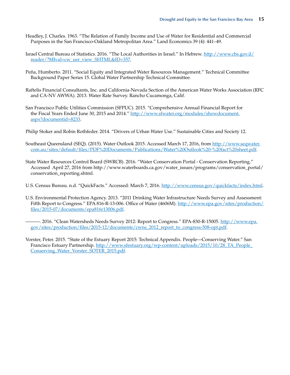- <span id="page-18-8"></span>Headley, J. Charles. 1963. "The Relation of Family Income and Use of Water for Residential and Commercial Purposes in the San Francisco-Oakland Metropolitan Area." Land Economics 39 (4): 441–49.
- <span id="page-18-1"></span>Israel Central Bureau of Statistics. 2016. "The Local Authorities in Israel." In Hebrew. [http://www.cbs.gov.il/](http://www.cbs.gov.il/reader/%3FMIval%3Dcw_usr_view_SHTML%26ID%3D357) [reader/?MIval=cw\\_usr\\_view\\_SHTML&ID=357](http://www.cbs.gov.il/reader/%3FMIval%3Dcw_usr_view_SHTML%26ID%3D357).
- Peña, Humberto. 2011. "Social Equity and Integrated Water Resources Management." Technical Committee Background Paper Series 15. Global Water Partnership Technical Committee.
- <span id="page-18-10"></span>Raftelis Financial Consultants, Inc. and California-Nevada Section of the American Water Works Association (RFC and CA-NV AWWA). 2013. Water Rate Survey. Rancho Cucamonga, Calif.
- <span id="page-18-5"></span>San Francisco Public Utilities Commission (SFPUC). 2015. "Comprehensive Annual Financial Report for the Fiscal Years Ended June 30, 2015 and 2014." [http://www.sfwater.org/modules/showdocument.](http://www.sfwater.org/modules/showdocument.aspx%3Fdocumentid%3D8233) [aspx?documentid=8233](http://www.sfwater.org/modules/showdocument.aspx%3Fdocumentid%3D8233).
- <span id="page-18-9"></span>Philip Stoker and Robin Rothfeder. 2014. "Drivers of Urban Water Use." Sustainable Cities and Society 12.
- <span id="page-18-0"></span>Southeast Queensland (SEQ). (2015). Water Outlook 2015. Accessed March 17, 2016, from [http://www.seqwater.](http://www.seqwater.com.au/sites/default/files/PDF%2520Documents/Publications/Water%2520Outlook%2520-%2520fact%2520sheet.pdf) [com.au/sites/default/files/PDF%20Documents/Publications/Water%20Outlook%20-%20fact%20sheet.pdf](http://www.seqwater.com.au/sites/default/files/PDF%2520Documents/Publications/Water%2520Outlook%2520-%2520fact%2520sheet.pdf).
- <span id="page-18-6"></span>State Water Resources Control Board (SWRCB). 2016. "Water Conservation Portal - Conservation Reporting." Accessed April 27, 2016 from http://www.waterboards.ca.gov/water\_issues/programs/conservation\_portal/ conservation\_reporting.shtml.
- <span id="page-18-7"></span>U.S. Census Bureau. n.d. "QuickFacts." Accessed: March 7, 2016. <http://www.census.gov/quickfacts/index.html>.
- <span id="page-18-3"></span>U.S. Environmental Protection Agency. 2013. "2011 Drinking Water Infrastructure Needs Survey and Assessment: Fifth Report to Congress." EPA 816-R-13-006. Office of Water (4606M). [http://www.epa.gov/sites/production/](http://www.epa.gov/sites/production/files/2015-07/documents/epa816r13006.pdf) [files/2015-07/documents/epa816r13006.pdf](http://www.epa.gov/sites/production/files/2015-07/documents/epa816r13006.pdf).
	- -. 2016. "Clean Watersheds Needs Survey 2012: Report to Congress." EPA-830-R-15005. [http://www.epa.](http://www.epa.gov/sites/production/files/2015-12/documents/cwns_2012_report_to_congress-508-opt.pdf) [gov/sites/production/files/2015-12/documents/cwns\\_2012\\_report\\_to\\_congress-508-opt.pdf](http://www.epa.gov/sites/production/files/2015-12/documents/cwns_2012_report_to_congress-508-opt.pdf).
- <span id="page-18-4"></span><span id="page-18-2"></span>Vorster, Peter. 2015. "State of the Estuary Report 2015: Technical Appendix. People—Conserving Water." San Francisco Estuary Partnership. [http://www.sfestuary.org/wp-content/uploads/2015/10/28\\_TA\\_People\\_](http://www.sfestuary.org/wp-content/uploads/2015/10/28_TA_People_Conserving_Water_Vorster_SOTER_2015.pdf) [Conserving\\_Water\\_Vorster\\_SOTER\\_2015.pdf](http://www.sfestuary.org/wp-content/uploads/2015/10/28_TA_People_Conserving_Water_Vorster_SOTER_2015.pdf).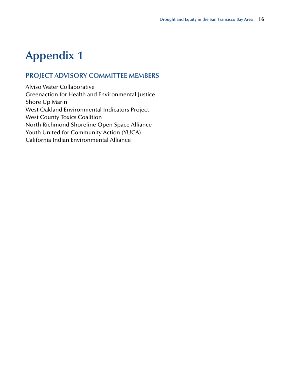## <span id="page-19-0"></span>**Appendix 1**

## **PROJECT ADVISORY COMMITTEE MEMBERS**

Alviso Water Collaborative Greenaction for Health and Environmental Justice Shore Up Marin West Oakland Environmental Indicators Project West County Toxics Coalition North Richmond Shoreline Open Space Alliance Youth United for Community Action (YUCA) California Indian Environmental Alliance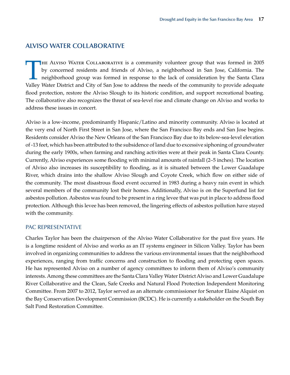## **ALVISO WATER COLLABORATIVE**

THE ALVISO WATER COLLABORATIVE is a community volunteer group that was formed in 2005<br>by concerned residents and friends of Alviso, a neighborhood in San Jose, California. The<br>neighborhood group was formed in response to t by concerned residents and friends of Alviso, a neighborhood in San Jose, California. The neighborhood group was formed in response to the lack of consideration by the Santa Clara Valley Water District and City of San Jose to address the needs of the community to provide adequate flood protection, restore the Alviso Slough to its historic condition, and support recreational boating. The collaborative also recognizes the threat of sea-level rise and climate change on Alviso and works to address these issues in concert.

Alviso is a low-income, predominantly Hispanic/Latino and minority community. Alviso is located at the very end of North First Street in San Jose, where the San Francisco Bay ends and San Jose begins. Residents consider Alviso the New Orleans of the San Francisco Bay due to its below-sea-level elevation of -13 feet, which has been attributed to the subsidence of land due to excessive siphoning of groundwater during the early 1900s, when farming and ranching activities were at their peak in Santa Clara County. Currently, Alviso experiences some flooding with minimal amounts of rainfall (2–5 inches). The location of Alviso also increases its susceptibility to flooding, as it is situated between the Lower Guadalupe River, which drains into the shallow Alviso Slough and Coyote Creek, which flow on either side of the community. The most disastrous flood event occurred in 1983 during a heavy rain event in which several members of the community lost their homes. Additionally, Alviso is on the Superfund list for asbestos pollution. Asbestos was found to be present in a ring levee that was put in place to address flood protection. Although this levee has been removed, the lingering effects of asbestos pollution have stayed with the community.

#### PAC REPRESENTATIVE

Charles Taylor has been the chairperson of the Alviso Water Collaborative for the past five years. He is a longtime resident of Alviso and works as an IT systems engineer in Silicon Valley. Taylor has been involved in organizing communities to address the various environmental issues that the neighborhood experiences, ranging from traffic concerns and construction to flooding and protecting open spaces. He has represented Alviso on a number of agency committees to inform them of Alviso's community interests. Among these committees are the Santa Clara Valley Water District Alviso and Lower Guadalupe River Collaborative and the Clean, Safe Creeks and Natural Flood Protection Independent Monitoring Committee. From 2007 to 2012, Taylor served as an alternate commissioner for Senator Elaine Alquist on the Bay Conservation Development Commission (BCDC). He is currently a stakeholder on the South Bay Salt Pond Restoration Committee.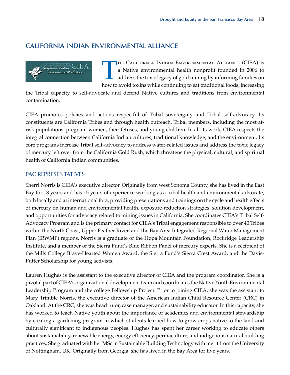## **CALIFORNIA INDIAN ENVIRONMENTAL ALLIANCE**



THE CALIFORNIA INDIAN ENVIRONMENTAL ALLIANCE (CIEA) is<br>a Native environmental health nonprofit founded in 2006 to<br>address the toxic legacy of gold mining by informing families on<br>how to avoid toxins while continuing to out a Native environmental health nonprofit founded in 2006 to address the toxic legacy of gold mining by informing families on how to avoid toxins while continuing to eat traditional foods, increasing

the Tribal capacity to self-advocate and defend Native cultures and traditions from environmental contamination.

CIEA promotes policies and actions respectful of Tribal sovereignty and Tribal self-advocacy. Its constituents are California Tribes and through health outreach, Tribal members, including the most atrisk populations: pregnant women, their fetuses, and young children. In all its work, CIEA respects the integral connection between California Indian cultures, traditional knowledge, and the environment. Its core programs increase Tribal self-advocacy to address water-related issues and address the toxic legacy of mercury left over from the California Gold Rush, which threatens the physical, cultural, and spiritual health of California Indian communities.

#### PAC REPRESENTATIVES

Sherri Norris is CIEA's executive director. Originally from west Sonoma County, she has lived in the East Bay for 18 years and has 15 years of experience working as a tribal health and environmental advocate, both locally and at international fora, providing presentations and trainings on the cycle and health effects of mercury on human and environmental health, exposure-reduction strategies, solution development, and opportunities for advocacy related to mining issues in California. She coordinates CIEA's Tribal Self-Advocacy Program and is the primary contact for CIEA's Tribal engagement responsible to over 40 Tribes within the North Coast, Upper Feather River, and the Bay Area Integrated Regional Water Management Plan (IRWMP) regions. Norris is a graduate of the Hopa Mountain Foundation, Rockridge Leadership Institute, and a member of the Sierra Fund's Blue Ribbon Panel of mercury experts. She is a recipient of the Mills College Brave-Hearted Women Award, the Sierra Fund's Sierra Crest Award, and the Davis-Putter Scholarship for young activists.

Lauren Hughes is the assistant to the executive director of CIEA and the program coordinator. She is a pivotal part of CIEA's organizational development team and coordinates the Native Youth Environmental Leadership Program and the college Fellowship Project. Prior to joining CIEA, she was the assistant to Mary Trimble Norris, the executive director of the American Indian Child Resource Center (CRC) in Oakland. At the CRC, she was head tutor, case manager, and sustainability educator. In this capacity, she has worked to teach Native youth about the importance of academics and environmental stewardship by creating a gardening program in which students learned how to grow crops native to the land and culturally significant to indigenous peoples. Hughes has spent her career working to educate others about sustainability, renewable energy, energy efficiency, permaculture, and indigenous natural building practices. She graduated with her MSc in Sustainable Building Technology with merit from the University of Nottingham, UK. Originally from Georgia, she has lived in the Bay Area for five years.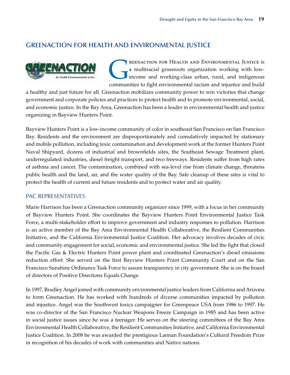## **GREENACTION FOR HEALTH AND ENVIRONMENTAL JUSTICE**



REENACTION FOR HEALTH AND ENVIRONMENTAL JUSTICE is<br>a multiracial grassroots organization working with low-<br>income and working-class urban, rural, and indigenous<br>communities to fight opvironmental racism and injustice and b a multiracial grassroots organization working with lowincome and working-class urban, rural, and indigenous communities to fight environmental racism and injustice and build

a healthy and just future for all. Greenaction mobilizes community power to win victories that change government and corporate policies and practices to protect health and to promote environmental, social, and economic justice. In the Bay Area, Greenaction has been a leader in environmental health and justice organizing in Bayview Hunters Point.

Bayview Hunters Point is a low-income community of color in southeast San Francisco on San Francisco Bay. Residents and the environment are disproportionately and cumulatively impacted by stationary and mobile pollution, including toxic contamination and development work at the former Hunters Point Naval Shipyard, dozens of industrial and brownfields sites, the Southeast Sewage Treatment plant, underregulated industries, diesel freight transport, and two freeways. Residents suffer from high rates of asthma and cancer. The contamination, combined with sea-level rise from climate change, threatens public health and the land, air, and the water quality of the Bay. Safe cleanup of these sites is vital to protect the health of current and future residents and to protect water and air quality.

#### PAC REPRESENTATIVES

Marie Harrison has been a Greenaction community organizer since 1999, with a focus in her community of Bayview Hunters Point. She coordinates the Bayview Hunters Point Environmental Justice Task Force, a multi-stakeholder effort to improve government and industry responses to pollution. Harrison is an active member of the Bay Area Environmental Health Collaborative, the Resilient Communities Initiative, and the California Environmental Justice Coalition. Her advocacy involves decades of civic and community engagement for social, economic and environmental justice. She led the fight that closed the Pacific Gas & Electric Hunters Point power plant and coordinated Greenaction's diesel emissions reduction effort. She served on the first Bayview Hunters Point Community Court and on the San Francisco Sunshine Ordinance Task Force to assure transparency in city government. She is on the board of directors of Positive Directions Equals Change.

In 1997, Bradley Angel joined with community environmental justice leaders from California and Arizona to form Greenaction. He has worked with hundreds of diverse communities impacted by pollution and injustice. Angel was the Southwest toxics campaigner for Greenpeace USA from 1986 to 1997. He was co-director of the San Francisco Nuclear Weapons Freeze Campaign in 1985 and has been active in social justice issues since he was a teenager. He serves on the steering committees of the Bay Area Environmental Health Collaborative, the Resilient Communities Initiative, and California Environmental Justice Coalition. In 2008 he was awarded the prestigious Lannan Foundation's Cultural Freedom Prize in recognition of his decades of work with communities and Native nations.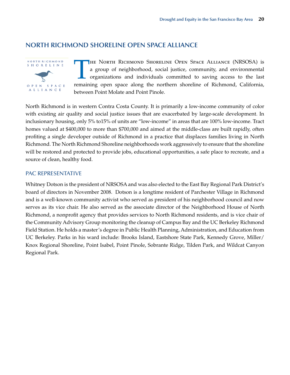## **NORTH RICHMOND SHORELINE OPEN SPACE ALLIANCE**



THE NORTH RICHMOND SHORELINE OPEN SPACE ALLIANCE (NRSOSA) is<br>a group of neighborhood, social justice, community, and environmental<br>organizations and individuals committed to saving access to the last<br>remaining open space a a group of neighborhood, social justice, community, and environmental organizations and individuals committed to saving access to the last remaining open space along the northern shoreline of Richmond, California, between Point Molate and Point Pinole.

North Richmond is in western Contra Costa County. It is primarily a low-income community of color with existing air quality and social justice issues that are exacerbated by large-scale development. In inclusionary housing, only 5% to15% of units are "low-income" in areas that are 100% low-income. Tract homes valued at \$400,000 to more than \$700,000 and aimed at the middle-class are built rapidly, often profiting a single developer outside of Richmond in a practice that displaces families living in North Richmond. The North Richmond Shoreline neighborhoods work aggressively to ensure that the shoreline will be restored and protected to provide jobs, educational opportunities, a safe place to recreate, and a source of clean, healthy food.

#### PAC REPRESENTATIVE

Whitney Dotson is the president of NRSOSA and was also elected to the East Bay Regional Park District's board of directors in November 2008. Dotson is a longtime resident of Parchester Village in Richmond and is a well-known community activist who served as president of his neighborhood council and now serves as its vice chair. He also served as the associate director of the Neighborhood House of North Richmond, a nonprofit agency that provides services to North Richmond residents, and is vice chair of the Community Advisory Group monitoring the cleanup of Campus Bay and the UC Berkeley Richmond Field Station. He holds a master's degree in Public Health Planning, Administration, and Education from UC Berkeley. Parks in his ward include: Brooks Island, Eastshore State Park, Kennedy Grove, Miller/ Knox Regional Shoreline, Point Isabel, Point Pinole, Sobrante Ridge, Tilden Park, and Wildcat Canyon Regional Park.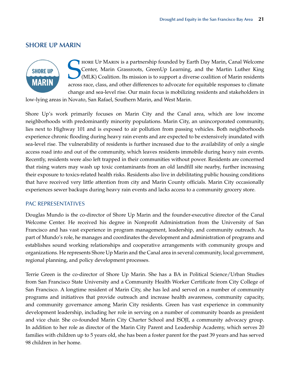## **SHORE UP MARIN**



SER THORE UP MARIN is a partnership founded by Earth Day Marin, Canal Welcome<br>Center, Marin Grassroots, GreenUp Learning, and the Martin Luther King<br>(MLK) Coalition. Its mission is to support a diverse coalition of Marin r hore Up Marin is a partnership founded by Earth Day Marin, Canal Welcome Center, Marin Grassroots, GreenUp Learning, and the Martin Luther King (MLK) Coalition. Its mission is to support a diverse coalition of Marin residents change and sea-level rise. Our main focus is mobilizing residents and stakeholders in

low-lying areas in Novato, San Rafael, Southern Marin, and West Marin.

Shore Up's work primarily focuses on Marin City and the Canal area, which are low income neighborhoods with predominantly minority populations. Marin City, an unincorporated community, lies next to Highway 101 and is exposed to air pollution from passing vehicles. Both neighborhoods experience chronic flooding during heavy rain events and are expected to be extensively inundated with sea-level rise. The vulnerability of residents is further increased due to the availability of only a single access road into and out of the community, which leaves residents immobile during heavy rain events. Recently, residents were also left trapped in their communities without power. Residents are concerned that rising waters may wash up toxic contaminants from an old landfill site nearby, further increasing their exposure to toxics-related health risks. Residents also live in debilitating public housing conditions that have received very little attention from city and Marin County officials. Marin City occasionally experiences sewer backups during heavy rain events and lacks access to a community grocery store.

#### PAC REPRESENTATIVES

Douglas Mundo is the co-director of Shore Up Marin and the founder-executive director of the Canal Welcome Center. He received his degree in Nonprofit Administration from the University of San Francisco and has vast experience in program management, leadership, and community outreach. As part of Mundo's role, he manages and coordinates the development and administration of programs and establishes sound working relationships and cooperative arrangements with community groups and organizations. He represents Shore Up Marin and the Canal area in several community, local government, regional planning, and policy development processes.

Terrie Green is the co-director of Shore Up Marin. She has a BA in Political Science/Urban Studies from San Francisco State University and a Community Health Worker Certificate from City College of San Francisco. A longtime resident of Marin City, she has led and served on a number of community programs and initiatives that provide outreach and increase health awareness, community capacity, and community governance among Marin City residents. Green has vast experience in community development leadership, including her role in serving on a number of community boards as president and vice chair. She co-founded Marin City Charter School and ISOJI, a community advocacy group. In addition to her role as director of the Marin City Parent and Leadership Academy, which serves 20 families with children up to 5 years old, she has been a foster parent for the past 39 years and has served 98 children in her home.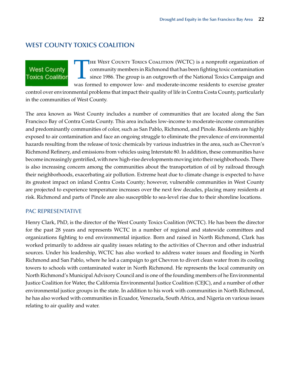## **WEST COUNTY TOXICS COALITION**

## THE WEST COUNTY TOXICS COALITION (WCTC) is a nonprofit organization of<br>community members in Richmond that has been fighting toxic contamination<br>since 1986. The group is an outgrowth of the National Toxics Campaign and<br>was community members in Richmond that has been fighting toxic contamination since 1986. The group is an outgrowth of the National Toxics Campaign and was formed to empower low- and moderate-income residents to exercise greater

control over environmental problems that impact their quality of life in Contra Costa County, particularly in the communities of West County.

The area known as West County includes a number of communities that are located along the San Francisco Bay of Contra Costa County. This area includes low-income to moderate-income communities and predominantly communities of color, such as San Pablo, Richmond, and Pinole. Residents are highly exposed to air contamination and face an ongoing struggle to eliminate the prevalence of environmental hazards resulting from the release of toxic chemicals by various industries in the area, such as Chevron's Richmond Refinery, and emissions from vehicles using Interstate 80. In addition, these communities have become increasingly gentrified, with new high-rise developments moving into their neighborhoods. There is also increasing concern among the communities about the transportation of oil by railroad through their neighborhoods, exacerbating air pollution. Extreme heat due to climate change is expected to have its greatest impact on inland Contra Costa County; however, vulnerable communities in West County are projected to experience temperature increases over the next few decades, placing many residents at risk. Richmond and parts of Pinole are also susceptible to sea-level rise due to their shoreline locations.

#### PAC REPRESENTATIVE

**West County Toxics Coalition** 

Henry Clark, PhD, is the director of the West County Toxics Coalition (WCTC). He has been the director for the past 28 years and represents WCTC in a number of regional and statewide committees and organizations fighting to end environmental injustice. Born and raised in North Richmond, Clark has worked primarily to address air quality issues relating to the activities of Chevron and other industrial sources. Under his leadership, WCTC has also worked to address water issues and flooding in North Richmond and San Pablo, where he led a campaign to get Chevron to divert clean water from its cooling towers to schools with contaminated water in North Richmond. He represents the local community on North Richmond's Municipal Advisory Council and is one of the founding members of he Environmental Justice Coalition for Water, the California Environmental Justice Coalition (CEJC), and a number of other environmental justice groups in the state. In addition to his work with communities in North Richmond, he has also worked with communities in Ecuador, Venezuela, South Africa, and Nigeria on various issues relating to air quality and water.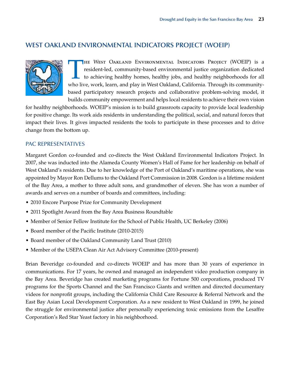## **WEST OAKLAND ENVIRONMENTAL INDICATORS PROJECT (WOEIP)**



THE WEST OAKLAND ENVIRONMENTAL INDICATORS PROJECT (WOEIP) is a resident-led, community-based environmental justice organization dedicated to achieving healthy homes, healthy jobs, and healthy neighborhoods for all who live resident-led, community-based environmental justice organization dedicated to achieving healthy homes, healthy jobs, and healthy neighborhoods for all who live, work, learn, and play in West Oakland, California. Through its communitybased participatory research projects and collaborative problem-solving model, it builds community empowerment and helps local residents to achieve their own vision

for healthy neighborhoods. WOEIP's mission is to build grassroots capacity to provide local leadership for positive change. Its work aids residents in understanding the political, social, and natural forces that impact their lives. It gives impacted residents the tools to participate in these processes and to drive change from the bottom up.

#### PAC REPRESENTATIVES

Margaret Gordon co-founded and co-directs the West Oakland Environmental Indicators Project. In 2007, she was inducted into the Alameda County Women's Hall of Fame for her leadership on behalf of West Oakland's residents. Due to her knowledge of the Port of Oakland's maritime operations, she was appointed by Mayor Ron Dellums to the Oakland Port Commission in 2008. Gordon is a lifetime resident of the Bay Area, a mother to three adult sons, and grandmother of eleven. She has won a number of awards and serves on a number of boards and committees, including:

- 2010 Encore Purpose Prize for Community Development
- 2011 Spotlight Award from the Bay Area Business Roundtable
- Member of Senior Fellow Institute for the School of Public Health, UC Berkeley (2006)
- Board member of the Pacific Institute (2010-2015)
- Board member of the Oakland Community Land Trust (2010)
- Member of the USEPA Clean Air Act Advisory Committee (2010-present)

Brian Beveridge co-founded and co-directs WOEIP and has more than 30 years of experience in communications. For 17 years, he owned and managed an independent video production company in the Bay Area. Beveridge has created marketing programs for Fortune 500 corporations, produced TV programs for the Sports Channel and the San Francisco Giants and written and directed documentary videos for nonprofit groups, including the California Child Care Resource & Referral Network and the East Bay Asian Local Development Corporation. As a new resident to West Oakland in 1999, he joined the struggle for environmental justice after personally experiencing toxic emissions from the Lesaffre Corporation's Red Star Yeast factory in his neighborhood.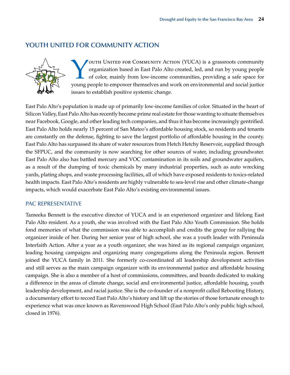## **YOUTH UNITED FOR COMMUNITY ACTION**



VOUTH UNITED FOR COMMUNITY ACTION (YUCA) is a grassroots community organization based in East Palo Alto created, led, and run by young people of color, mainly from low-income communities, providing a safe space for young p organization based in East Palo Alto created, led, and run by young people of color, mainly from low-income communities, providing a safe space for young people to empower themselves and work on environmental and social justice issues to establish positive systemic change.

East Palo Alto's population is made up of primarily low-income families of color. Situated in the heart of Silicon Valley, East Palo Alto has recently become prime real estate for those wanting to situate themselves near Facebook, Google, and other leading tech companies, and thus it has become increasingly gentrified. East Palo Alto holds nearly 15 percent of San Mateo's affordable housing stock, so residents and tenants are constantly on the defense, fighting to save the largest portfolio of affordable housing in the county. East Palo Alto has surpassed its share of water resources from Hetch Hetchy Reservoir, supplied through the SFPUC, and the community is now searching for other sources of water, including groundwater. East Palo Alto also has battled mercury and VOC contamination in its soils and groundwater aquifers, as a result of the dumping of toxic chemicals by many industrial properties, such as auto wrecking yards, plating shops, and waste processing facilities, all of which have exposed residents to toxics-related health impacts. East Palo Alto's residents are highly vulnerable to sea-level rise and other climate-change impacts, which would exacerbate East Palo Alto's existing environmental issues.

#### PAC REPRESENTATIVE

Tameeka Bennett is the executive director of YUCA and is an experienced organizer and lifelong East Palo Alto resident. As a youth, she was involved with the East Palo Alto Youth Commission. She holds fond memories of what the commission was able to accomplish and credits the group for rallying the organizer inside of her. During her senior year of high school, she was a youth leader with Peninsula Interfaith Action. After a year as a youth organizer, she was hired as its regional campaign organizer, leading housing campaigns and organizing many congregations along the Peninsula region. Bennett joined the YUCA family in 2011. She formerly co-coordinated all leadership development activities and still serves as the main campaign organizer with its environmental justice and affordable housing campaign. She is also a member of a host of commissions, committees, and boards dedicated to making a difference in the areas of climate change, social and environmental justice, affordable housing, youth leadership development, and racial justice. She is the co-founder of a nonprofit called Rebooting History, a documentary effort to record East Palo Alto's history and lift up the stories of those fortunate enough to experience what was once known as Ravenswood High School (East Palo Alto's only public high school, closed in 1976).